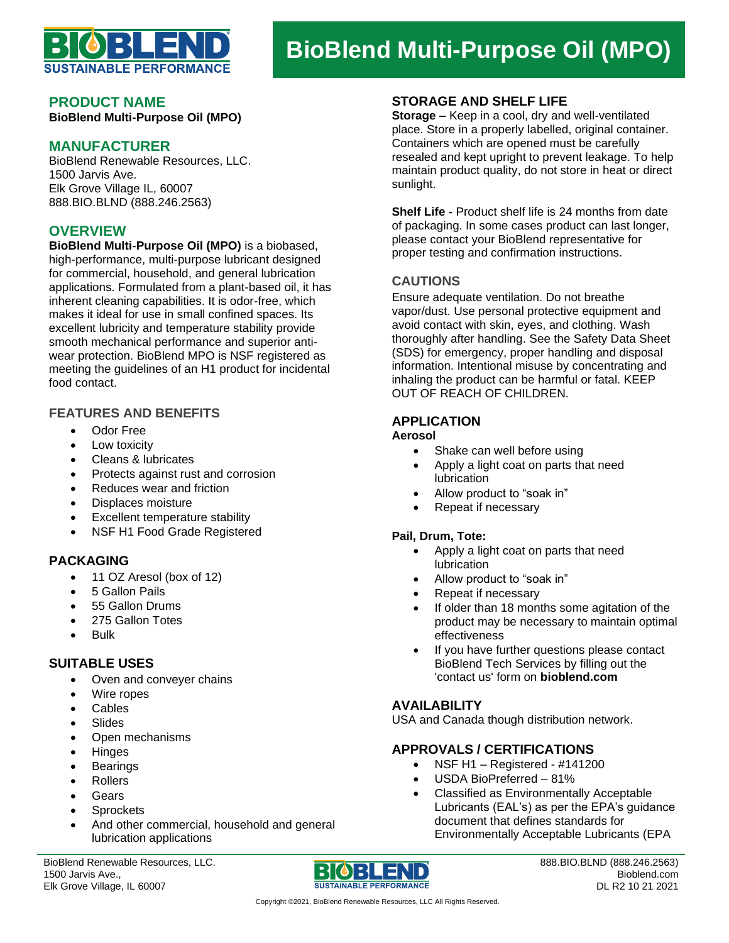

# **BioBlend Multi-Purpose Oil (MPO)**

#### **PRODUCT NAME**

**BioBlend Multi-Purpose Oil (MPO)**

# **MANUFACTURER**

BioBlend Renewable Resources, LLC. 1500 Jarvis Ave. Elk Grove Village IL, 60007 888.BIO.BLND (888.246.2563)

# **OVERVIEW**

**BioBlend Multi-Purpose Oil (MPO)** is a biobased, high-performance, multi-purpose lubricant designed for commercial, household, and general lubrication applications. Formulated from a plant-based oil, it has inherent cleaning capabilities. It is odor-free, which makes it ideal for use in small confined spaces. Its excellent lubricity and temperature stability provide smooth mechanical performance and superior antiwear protection. BioBlend MPO is NSF registered as meeting the guidelines of an H1 product for incidental food contact.

#### **FEATURES AND BENEFITS**

- Odor Free
- Low toxicity
- Cleans & lubricates
- Protects against rust and corrosion
- Reduces wear and friction
- Displaces moisture
- Excellent temperature stability
- NSF H1 Food Grade Registered

### **PACKAGING**

- 11 OZ Aresol (box of 12)
- 5 Gallon Pails
- 55 Gallon Drums
- 275 Gallon Totes
- Bulk

#### **SUITABLE USES**

- Oven and conveyer chains
- Wire ropes
- **Cables**
- **Slides**
- Open mechanisms
- Hinges
- **Bearings**
- Rollers
- Gears
- **Sprockets**
- And other commercial, household and general lubrication applications

BioBlend Renewable Resources, LLC. 1500 Jarvis Ave., Elk Grove Village, IL 60007



888.BIO.BLND (888.246.2563) Bioblend.com DL R2 10 21 2021

**Storage –** Keep in a cool, dry and well-ventilated place. Store in a properly labelled, original container. Containers which are opened must be carefully resealed and kept upright to prevent leakage. To help maintain product quality, do not store in heat or direct sunlight.

**Shelf Life -** Product shelf life is 24 months from date of packaging. In some cases product can last longer, please contact your BioBlend representative for proper testing and confirmation instructions.

# **CAUTIONS**

Ensure adequate ventilation. Do not breathe vapor/dust. Use personal protective equipment and avoid contact with skin, eyes, and clothing. Wash thoroughly after handling. See the Safety Data Sheet (SDS) for emergency, proper handling and disposal information. Intentional misuse by concentrating and inhaling the product can be harmful or fatal. KEEP OUT OF REACH OF CHILDREN.

# **APPLICATION**

#### **Aerosol**

- Shake can well before using
- Apply a light coat on parts that need **lubrication**
- Allow product to "soak in"
- Repeat if necessary

#### **Pail, Drum, Tote:**

- Apply a light coat on parts that need lubrication
- Allow product to "soak in"
- Repeat if necessary
- If older than 18 months some agitation of the product may be necessary to maintain optimal effectiveness
- If you have further questions please contact BioBlend Tech Services by filling out the 'contact us' form on **bioblend.com**

### **AVAILABILITY**

USA and Canada though distribution network.

## **APPROVALS / CERTIFICATIONS**

- NSF H1 Registered  $\#141200$
- USDA BioPreferred 81%
- Classified as Environmentally Acceptable Lubricants (EAL's) as per the EPA's guidance document that defines standards for Environmentally Acceptable Lubricants (EPA